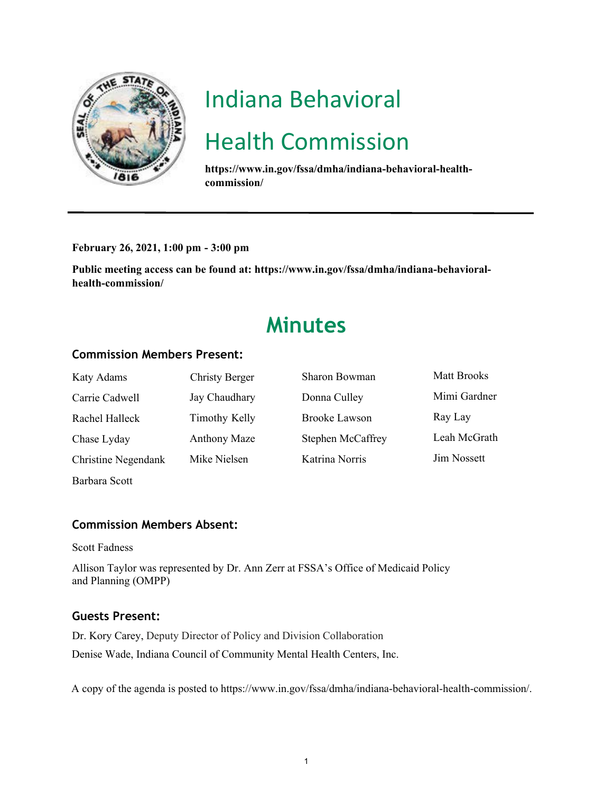

# Indiana Behavioral

## Health Commission

**https://www.in.gov/fssa/dmha/indiana-behavioral-healthcommission/**

**February 26, 2021, 1:00 pm - 3:00 pm** 

**Public meeting access can be found at: https://www.in.gov/fssa/dmha/indiana-behavioralhealth-commission/**

### **Minutes**

#### **Commission Members Present:**

| Katy Adams          | Christy Berger       | Sharon Bowman            | <b>Matt Brooks</b> |
|---------------------|----------------------|--------------------------|--------------------|
| Carrie Cadwell      | Jay Chaudhary        | Donna Culley             | Mimi Gardner       |
| Rachel Halleck      | <b>Timothy Kelly</b> | Brooke Lawson            | Ray Lay            |
| Chase Lyday         | Anthony Maze         | <b>Stephen McCaffrey</b> | Leah McGrath       |
| Christine Negendank | Mike Nielsen         | Katrina Norris           | <b>Jim Nossett</b> |
| Barbara Scott       |                      |                          |                    |

#### **Commission Members Absent:**

Scott Fadness

Allison Taylor was represented by Dr. Ann Zerr at FSSA's Office of Medicaid Policy and Planning (OMPP)

#### **Guests Present:**

Dr. Kory Carey, Deputy Director of Policy and Division Collaboration Denise Wade, Indiana Council of Community Mental Health Centers, Inc.

A copy of the agenda is posted to https://www.in.gov/fssa/dmha/indiana-behavioral-health-commission/.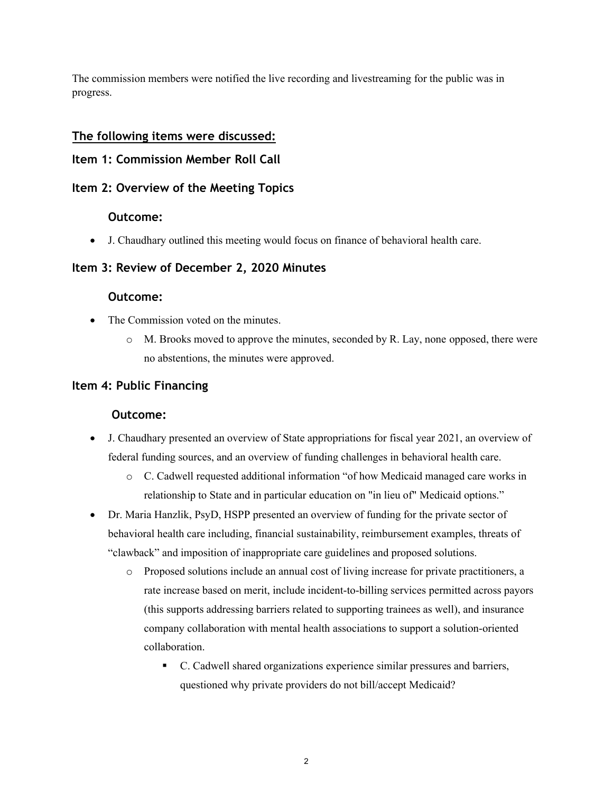The commission members were notified the live recording and livestreaming for the public was in progress.

#### **The following items were discussed:**

#### **Item 1: Commission Member Roll Call**

#### **Item 2: Overview of the Meeting Topics**

#### **Outcome:**

• J. Chaudhary outlined this meeting would focus on finance of behavioral health care.

#### **Item 3: Review of December 2, 2020 Minutes**

#### **Outcome:**

- The Commission voted on the minutes.
	- o M. Brooks moved to approve the minutes, seconded by R. Lay, none opposed, there were no abstentions, the minutes were approved.

#### **Item 4: Public Financing**

#### **Outcome:**

- J. Chaudhary presented an overview of State appropriations for fiscal year 2021, an overview of federal funding sources, and an overview of funding challenges in behavioral health care.
	- o C. Cadwell requested additional information "of how Medicaid managed care works in relationship to State and in particular education on "in lieu of" Medicaid options."
- Dr. Maria Hanzlik, PsyD, HSPP presented an overview of funding for the private sector of behavioral health care including, financial sustainability, reimbursement examples, threats of "clawback" and imposition of inappropriate care guidelines and proposed solutions.
	- o Proposed solutions include an annual cost of living increase for private practitioners, a rate increase based on merit, include incident-to-billing services permitted across payors (this supports addressing barriers related to supporting trainees as well), and insurance company collaboration with mental health associations to support a solution-oriented collaboration.
		- C. Cadwell shared organizations experience similar pressures and barriers, questioned why private providers do not bill/accept Medicaid?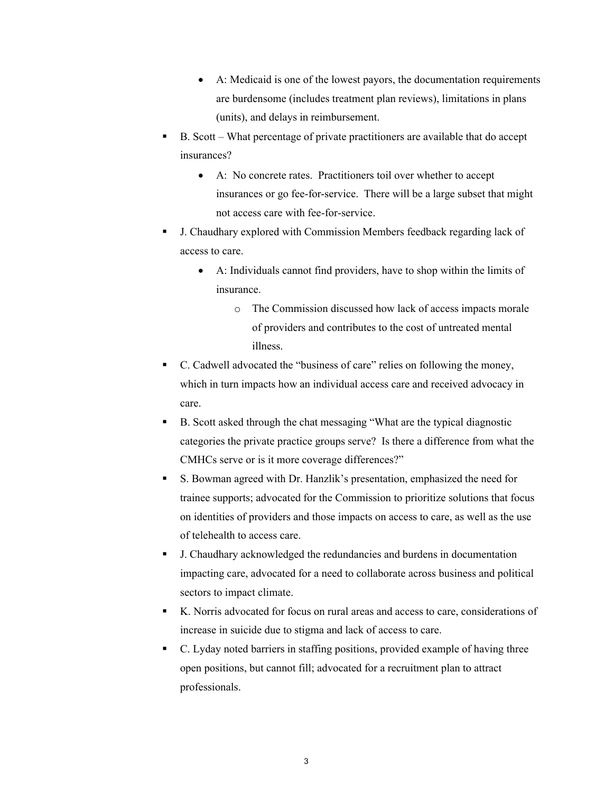- A: Medicaid is one of the lowest payors, the documentation requirements are burdensome (includes treatment plan reviews), limitations in plans (units), and delays in reimbursement.
- B. Scott What percentage of private practitioners are available that do accept insurances?
	- A: No concrete rates. Practitioners toil over whether to accept insurances or go fee-for-service. There will be a large subset that might not access care with fee-for-service.
- J. Chaudhary explored with Commission Members feedback regarding lack of access to care.
	- A: Individuals cannot find providers, have to shop within the limits of insurance.
		- o The Commission discussed how lack of access impacts morale of providers and contributes to the cost of untreated mental illness.
- C. Cadwell advocated the "business of care" relies on following the money, which in turn impacts how an individual access care and received advocacy in care.
- B. Scott asked through the chat messaging "What are the typical diagnostic categories the private practice groups serve? Is there a difference from what the CMHCs serve or is it more coverage differences?"
- S. Bowman agreed with Dr. Hanzlik's presentation, emphasized the need for trainee supports; advocated for the Commission to prioritize solutions that focus on identities of providers and those impacts on access to care, as well as the use of telehealth to access care.
- J. Chaudhary acknowledged the redundancies and burdens in documentation impacting care, advocated for a need to collaborate across business and political sectors to impact climate.
- K. Norris advocated for focus on rural areas and access to care, considerations of increase in suicide due to stigma and lack of access to care.
- C. Lyday noted barriers in staffing positions, provided example of having three open positions, but cannot fill; advocated for a recruitment plan to attract professionals.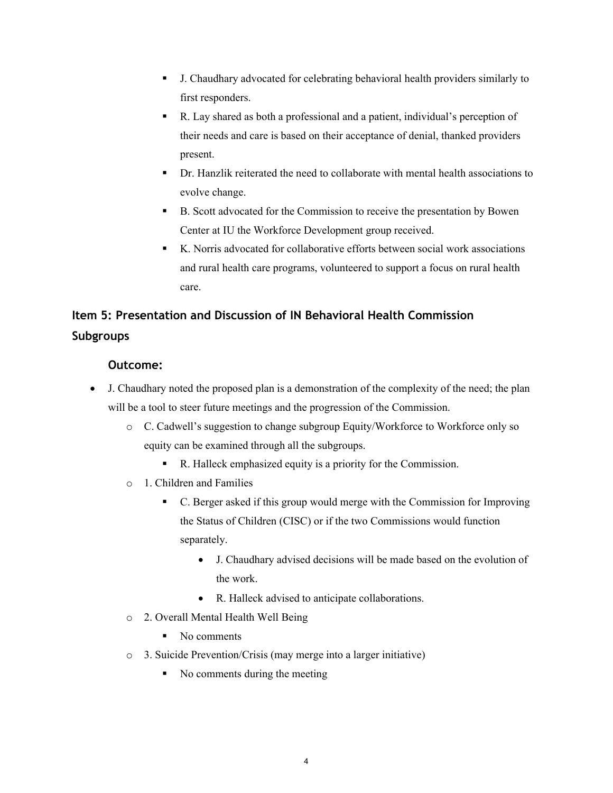- J. Chaudhary advocated for celebrating behavioral health providers similarly to first responders.
- R. Lay shared as both a professional and a patient, individual's perception of their needs and care is based on their acceptance of denial, thanked providers present.
- Dr. Hanzlik reiterated the need to collaborate with mental health associations to evolve change.
- B. Scott advocated for the Commission to receive the presentation by Bowen Center at IU the Workforce Development group received.
- K. Norris advocated for collaborative efforts between social work associations and rural health care programs, volunteered to support a focus on rural health care.

### **Item 5: Presentation and Discussion of IN Behavioral Health Commission Subgroups**

#### **Outcome:**

- J. Chaudhary noted the proposed plan is a demonstration of the complexity of the need; the plan will be a tool to steer future meetings and the progression of the Commission.
	- o C. Cadwell's suggestion to change subgroup Equity/Workforce to Workforce only so equity can be examined through all the subgroups.
		- R. Halleck emphasized equity is a priority for the Commission.
	- o 1. Children and Families
		- C. Berger asked if this group would merge with the Commission for Improving the Status of Children (CISC) or if the two Commissions would function separately.
			- J. Chaudhary advised decisions will be made based on the evolution of the work.
			- R. Halleck advised to anticipate collaborations.
	- o 2. Overall Mental Health Well Being
		- No comments
	- o 3. Suicide Prevention/Crisis (may merge into a larger initiative)
		- No comments during the meeting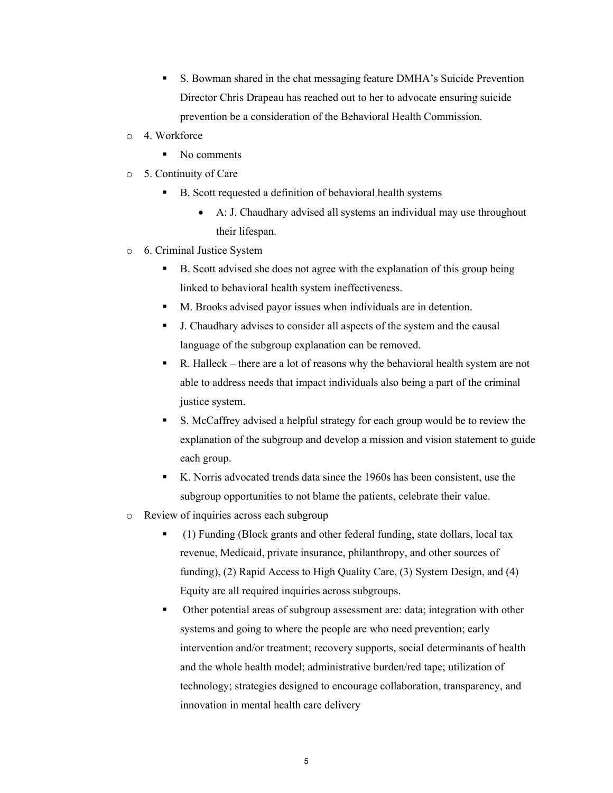- S. Bowman shared in the chat messaging feature DMHA's Suicide Prevention Director Chris Drapeau has reached out to her to advocate ensuring suicide prevention be a consideration of the Behavioral Health Commission.
- o 4. Workforce
	- No comments
- o 5. Continuity of Care
	- B. Scott requested a definition of behavioral health systems
		- A: J. Chaudhary advised all systems an individual may use throughout their lifespan.
- o 6. Criminal Justice System
	- B. Scott advised she does not agree with the explanation of this group being linked to behavioral health system ineffectiveness.
	- M. Brooks advised payor issues when individuals are in detention.
	- J. Chaudhary advises to consider all aspects of the system and the causal language of the subgroup explanation can be removed.
	- R. Halleck there are a lot of reasons why the behavioral health system are not able to address needs that impact individuals also being a part of the criminal justice system.
	- S. McCaffrey advised a helpful strategy for each group would be to review the explanation of the subgroup and develop a mission and vision statement to guide each group.
	- K. Norris advocated trends data since the 1960s has been consistent, use the subgroup opportunities to not blame the patients, celebrate their value.
- o Review of inquiries across each subgroup
	- (1) Funding (Block grants and other federal funding, state dollars, local tax revenue, Medicaid, private insurance, philanthropy, and other sources of funding), (2) Rapid Access to High Quality Care, (3) System Design, and (4) Equity are all required inquiries across subgroups.
	- Other potential areas of subgroup assessment are: data; integration with other systems and going to where the people are who need prevention; early intervention and/or treatment; recovery supports, social determinants of health and the whole health model; administrative burden/red tape; utilization of technology; strategies designed to encourage collaboration, transparency, and innovation in mental health care delivery